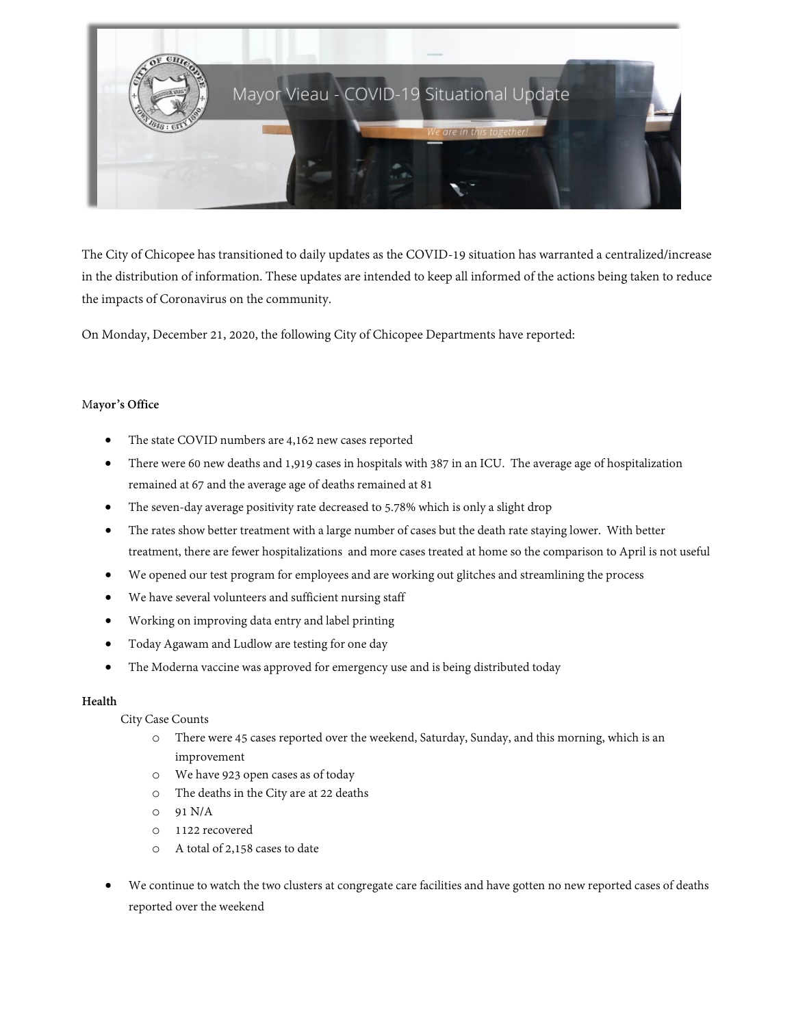

The City of Chicopee has transitioned to daily updates as the COVID-19 situation has warranted a centralized/increase in the distribution of information. These updates are intended to keep all informed of the actions being taken to reduce the impacts of Coronavirus on the community.

On Monday, December 21, 2020, the following City of Chicopee Departments have reported:

## M**ayor's Office**

- The state COVID numbers are 4,162 new cases reported
- There were 60 new deaths and 1,919 cases in hospitals with 387 in an ICU. The average age of hospitalization remained at 67 and the average age of deaths remained at 81
- The seven-day average positivity rate decreased to 5.78% which is only a slight drop
- The rates show better treatment with a large number of cases but the death rate staying lower. With better treatment, there are fewer hospitalizations and more cases treated at home so the comparison to April is not useful
- We opened our test program for employees and are working out glitches and streamlining the process
- We have several volunteers and sufficient nursing staff
- Working on improving data entry and label printing
- Today Agawam and Ludlow are testing for one day
- The Moderna vaccine was approved for emergency use and is being distributed today

### **Health**

City Case Counts

- o There were 45 cases reported over the weekend, Saturday, Sunday, and this morning, which is an improvement
- o We have 923 open cases as of today
- o The deaths in the City are at 22 deaths
- o 91 N/A
- o 1122 recovered
- o A total of 2,158 cases to date
- We continue to watch the two clusters at congregate care facilities and have gotten no new reported cases of deaths reported over the weekend